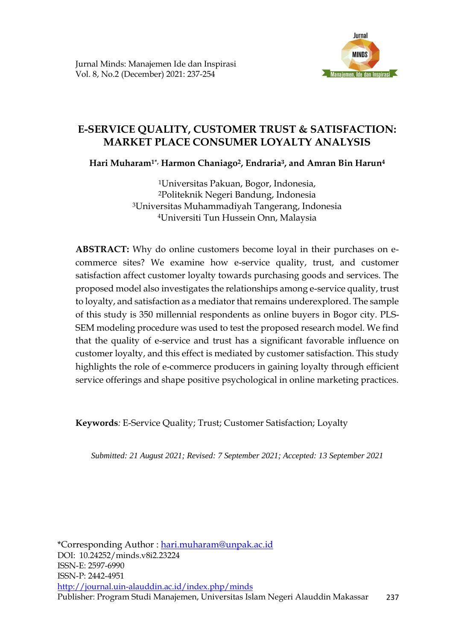

# **E-SERVICE QUALITY, CUSTOMER TRUST & SATISFACTION: MARKET PLACE CONSUMER LOYALTY ANALYSIS**

**Hari Muharam1\*, Harmon Chaniago2, Endraria<sup>3</sup> , and Amran Bin Harun<sup>4</sup>**

Universitas Pakuan, Bogor, Indonesia, Politeknik Negeri Bandung, Indonesia Universitas Muhammadiyah Tangerang, Indonesia Universiti Tun Hussein Onn, Malaysia

**ABSTRACT:** Why do online customers become loyal in their purchases on ecommerce sites? We examine how e-service quality, trust, and customer satisfaction affect customer loyalty towards purchasing goods and services. The proposed model also investigates the relationships among e-service quality, trust to loyalty, and satisfaction as a mediator that remains underexplored. The sample of this study is 350 millennial respondents as online buyers in Bogor city. PLS-SEM modeling procedure was used to test the proposed research model. We find that the quality of e-service and trust has a significant favorable influence on customer loyalty, and this effect is mediated by customer satisfaction. This study highlights the role of e-commerce producers in gaining loyalty through efficient service offerings and shape positive psychological in online marketing practices.

**Keywords***:* E-Service Quality; Trust; Customer Satisfaction; Loyalty

*Submitted: 21 August 2021; Revised: 7 September 2021; Accepted: 13 September 2021*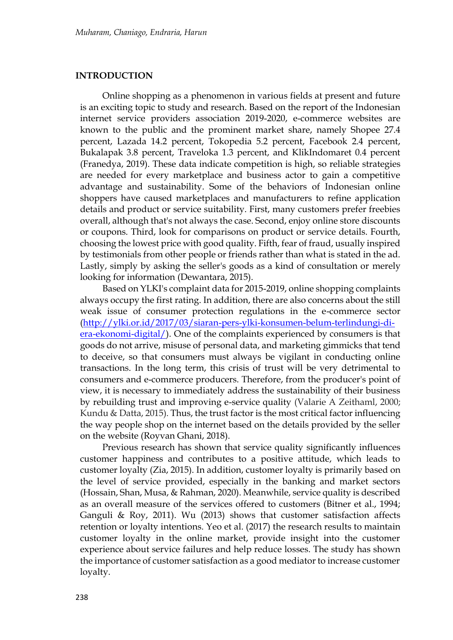#### **INTRODUCTION**

Online shopping as a phenomenon in various fields at present and future is an exciting topic to study and research. Based on the report of the Indonesian internet service providers association 2019-2020, e-commerce websites are known to the public and the prominent market share, namely Shopee 27.4 percent, Lazada 14.2 percent, Tokopedia 5.2 percent, Facebook 2.4 percent, Bukalapak 3.8 percent, Traveloka 1.3 percent, and KlikIndomaret 0.4 percent (Franedya, 2019). These data indicate competition is high, so reliable strategies are needed for every marketplace and business actor to gain a competitive advantage and sustainability. Some of the behaviors of Indonesian online shoppers have caused marketplaces and manufacturers to refine application details and product or service suitability. First, many customers prefer freebies overall, although that's not always the case. Second, enjoy online store discounts or coupons. Third, look for comparisons on product or service details. Fourth, choosing the lowest price with good quality. Fifth, fear of fraud, usually inspired by testimonials from other people or friends rather than what is stated in the ad. Lastly, simply by asking the seller's goods as a kind of consultation or merely looking for information (Dewantara, 2015).

Based on YLKI's complaint data for 2015-2019, online shopping complaints always occupy the first rating. In addition, there are also concerns about the still weak issue of consumer protection regulations in the e-commerce sector [\(http://ylki.or.id/2017/03/siaran-pers-ylki-konsumen-belum-terlindungi-di](http://ylki.or.id/2017/03/siaran-pers-ylki-konsumen-belum-terlindungi-di-era-ekonomi-digital/)[era-ekonomi-digital/\)](http://ylki.or.id/2017/03/siaran-pers-ylki-konsumen-belum-terlindungi-di-era-ekonomi-digital/). One of the complaints experienced by consumers is that goods do not arrive, misuse of personal data, and marketing gimmicks that tend to deceive, so that consumers must always be vigilant in conducting online transactions. In the long term, this crisis of trust will be very detrimental to consumers and e-commerce producers. Therefore, from the producer's point of view, it is necessary to immediately address the sustainability of their business by rebuilding trust and improving e-service quality (Valarie A Zeithaml, 2000; Kundu & Datta, 2015). Thus, the trust factor is the most critical factor influencing the way people shop on the internet based on the details provided by the seller on the website (Royvan Ghani, 2018).

Previous research has shown that service quality significantly influences customer happiness and contributes to a positive attitude, which leads to customer loyalty (Zia, 2015). In addition, customer loyalty is primarily based on the level of service provided, especially in the banking and market sectors (Hossain, Shan, Musa, & Rahman, 2020). Meanwhile, service quality is described as an overall measure of the services offered to customers (Bitner et al., 1994; Ganguli & Roy, 2011). Wu (2013) shows that customer satisfaction affects retention or loyalty intentions. Yeo et al. (2017) the research results to maintain customer loyalty in the online market, provide insight into the customer experience about service failures and help reduce losses. The study has shown the importance of customer satisfaction as a good mediator to increase customer loyalty.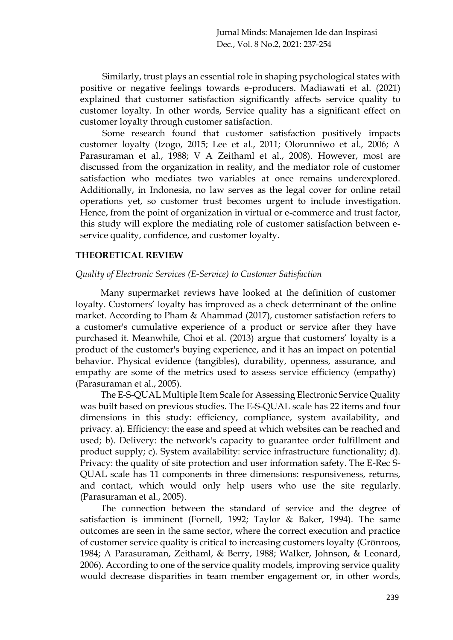Similarly, trust plays an essential role in shaping psychological states with positive or negative feelings towards e-producers. Madiawati et al. (2021) explained that customer satisfaction significantly affects service quality to customer loyalty. In other words, Service quality has a significant effect on customer loyalty through customer satisfaction.

Some research found that customer satisfaction positively impacts customer loyalty (Izogo, 2015; Lee et al., 2011; Olorunniwo et al., 2006; A Parasuraman et al., 1988; V A Zeithaml et al., 2008). However, most are discussed from the organization in reality, and the mediator role of customer satisfaction who mediates two variables at once remains underexplored. Additionally, in Indonesia, no law serves as the legal cover for online retail operations yet, so customer trust becomes urgent to include investigation. Hence, from the point of organization in virtual or e-commerce and trust factor, this study will explore the mediating role of customer satisfaction between eservice quality, confidence, and customer loyalty.

## **THEORETICAL REVIEW**

#### *Quality of Electronic Services (E-Service) to Customer Satisfaction*

Many supermarket reviews have looked at the definition of customer loyalty. Customers' loyalty has improved as a check determinant of the online market. According to Pham & Ahammad (2017), customer satisfaction refers to a customer's cumulative experience of a product or service after they have purchased it. Meanwhile, Choi et al. (2013) argue that customers' loyalty is a product of the customer's buying experience, and it has an impact on potential behavior. Physical evidence (tangibles), durability, openness, assurance, and empathy are some of the metrics used to assess service efficiency (empathy) (Parasuraman et al., 2005).

The E-S-QUAL Multiple Item Scale for Assessing Electronic Service Quality was built based on previous studies. The E-S-QUAL scale has 22 items and four dimensions in this study: efficiency, compliance, system availability, and privacy. a). Efficiency: the ease and speed at which websites can be reached and used; b). Delivery: the network's capacity to guarantee order fulfillment and product supply; c). System availability: service infrastructure functionality; d). Privacy: the quality of site protection and user information safety. The E-Rec S-QUAL scale has 11 components in three dimensions: responsiveness, returns, and contact, which would only help users who use the site regularly. (Parasuraman et al., 2005).

The connection between the standard of service and the degree of satisfaction is imminent (Fornell, 1992; Taylor & Baker, 1994). The same outcomes are seen in the same sector, where the correct execution and practice of customer service quality is critical to increasing customers loyalty (Grönroos, 1984; A Parasuraman, Zeithaml, & Berry, 1988; Walker, Johnson, & Leonard, 2006). According to one of the service quality models, improving service quality would decrease disparities in team member engagement or, in other words,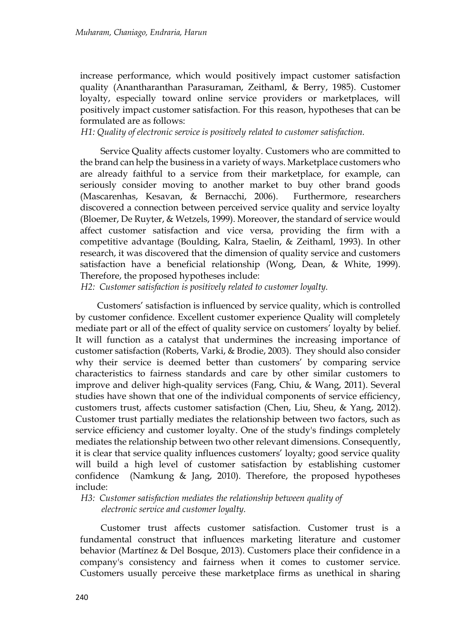increase performance, which would positively impact customer satisfaction quality (Anantharanthan Parasuraman, Zeithaml, & Berry, 1985). Customer loyalty, especially toward online service providers or marketplaces, will positively impact customer satisfaction. For this reason, hypotheses that can be formulated are as follows:

*H1: Quality of electronic service is positively related to customer satisfaction.* 

Service Quality affects customer loyalty. Customers who are committed to the brand can help the business in a variety of ways. Marketplace customers who are already faithful to a service from their marketplace, for example, can seriously consider moving to another market to buy other brand goods (Mascarenhas, Kesavan, & Bernacchi, 2006). Furthermore, researchers discovered a connection between perceived service quality and service loyalty (Bloemer, De Ruyter, & Wetzels, 1999). Moreover, the standard of service would affect customer satisfaction and vice versa, providing the firm with a competitive advantage (Boulding, Kalra, Staelin, & Zeithaml, 1993). In other research, it was discovered that the dimension of quality service and customers satisfaction have a beneficial relationship (Wong, Dean, & White, 1999). Therefore, the proposed hypotheses include:

*H2: Customer satisfaction is positively related to customer loyalty.*

Customers' satisfaction is influenced by service quality, which is controlled by customer confidence. Excellent customer experience Quality will completely mediate part or all of the effect of quality service on customers' loyalty by belief. It will function as a catalyst that undermines the increasing importance of customer satisfaction (Roberts, Varki, & Brodie, 2003). They should also consider why their service is deemed better than customers' by comparing service characteristics to fairness standards and care by other similar customers to improve and deliver high-quality services (Fang, Chiu, & Wang, 2011). Several studies have shown that one of the individual components of service efficiency, customers trust, affects customer satisfaction (Chen, Liu, Sheu, & Yang, 2012). Customer trust partially mediates the relationship between two factors, such as service efficiency and customer loyalty. One of the study's findings completely mediates the relationship between two other relevant dimensions. Consequently, it is clear that service quality influences customers' loyalty; good service quality will build a high level of customer satisfaction by establishing customer confidence (Namkung & Jang, 2010). Therefore, the proposed hypotheses include:

*H3: Customer satisfaction mediates the relationship between quality of electronic service and customer loyalty.*

Customer trust affects customer satisfaction. Customer trust is a fundamental construct that influences marketing literature and customer behavior (Martínez & Del Bosque, 2013). Customers place their confidence in a company's consistency and fairness when it comes to customer service. Customers usually perceive these marketplace firms as unethical in sharing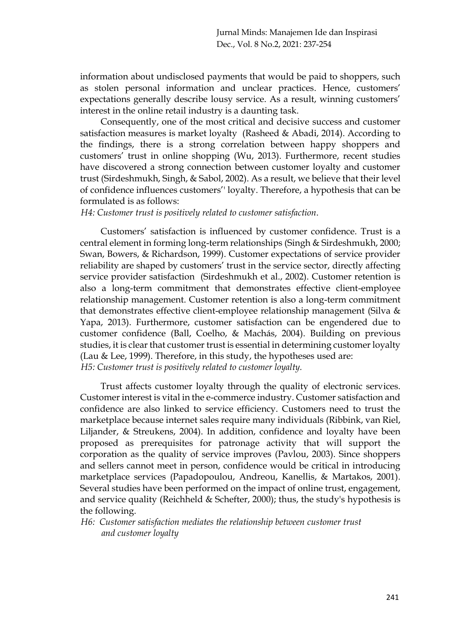information about undisclosed payments that would be paid to shoppers, such as stolen personal information and unclear practices. Hence, customers' expectations generally describe lousy service. As a result, winning customers' interest in the online retail industry is a daunting task.

Consequently, one of the most critical and decisive success and customer satisfaction measures is market loyalty (Rasheed & Abadi, 2014). According to the findings, there is a strong correlation between happy shoppers and customers' trust in online shopping (Wu, 2013). Furthermore, recent studies have discovered a strong connection between customer loyalty and customer trust (Sirdeshmukh, Singh, & Sabol, 2002). As a result, we believe that their level of confidence influences customers'' loyalty. Therefore, a hypothesis that can be formulated is as follows:

*H4: Customer trust is positively related to customer satisfaction*.

Customers' satisfaction is influenced by customer confidence. Trust is a central element in forming long-term relationships (Singh & Sirdeshmukh, 2000; Swan, Bowers, & Richardson, 1999). Customer expectations of service provider reliability are shaped by customers' trust in the service sector, directly affecting service provider satisfaction (Sirdeshmukh et al., 2002). Customer retention is also a long-term commitment that demonstrates effective client-employee relationship management. Customer retention is also a long-term commitment that demonstrates effective client-employee relationship management (Silva & Yapa, 2013). Furthermore, customer satisfaction can be engendered due to customer confidence (Ball, Coelho, & Machás, 2004). Building on previous studies, it is clear that customer trust is essential in determining customer loyalty (Lau & Lee, 1999). Therefore, in this study, the hypotheses used are: *H5: Customer trust is positively related to customer loyalty.*

Trust affects customer loyalty through the quality of electronic services. Customer interest is vital in the e-commerce industry. Customer satisfaction and confidence are also linked to service efficiency. Customers need to trust the marketplace because internet sales require many individuals (Ribbink, van Riel, Liljander, & Streukens, 2004). In addition, confidence and loyalty have been proposed as prerequisites for patronage activity that will support the corporation as the quality of service improves (Pavlou, 2003). Since shoppers and sellers cannot meet in person, confidence would be critical in introducing marketplace services (Papadopoulou, Andreou, Kanellis, & Martakos, 2001). Several studies have been performed on the impact of online trust, engagement, and service quality (Reichheld & Schefter, 2000); thus, the study's hypothesis is the following.

*H6: Customer satisfaction mediates the relationship between customer trust and customer loyalty*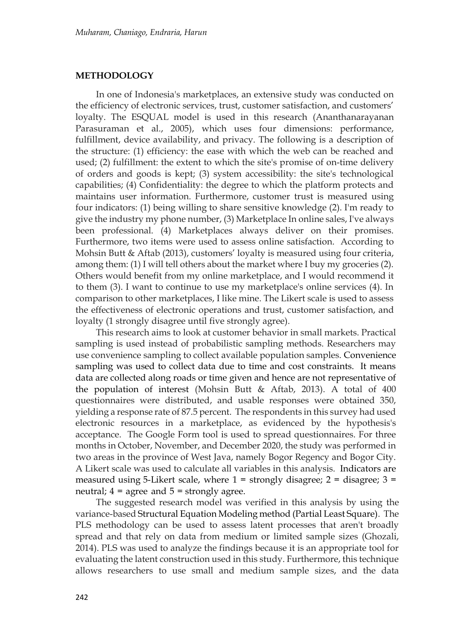#### **METHODOLOGY**

In one of Indonesia's marketplaces, an extensive study was conducted on the efficiency of electronic services, trust, customer satisfaction, and customers' loyalty. The ESQUAL model is used in this research (Ananthanarayanan Parasuraman et al., 2005), which uses four dimensions: performance, fulfillment, device availability, and privacy. The following is a description of the structure: (1) efficiency: the ease with which the web can be reached and used; (2) fulfillment: the extent to which the site's promise of on-time delivery of orders and goods is kept; (3) system accessibility: the site's technological capabilities; (4) Confidentiality: the degree to which the platform protects and maintains user information. Furthermore, customer trust is measured using four indicators: (1) being willing to share sensitive knowledge (2). I'm ready to give the industry my phone number, (3) Marketplace In online sales, I've always been professional. (4) Marketplaces always deliver on their promises. Furthermore, two items were used to assess online satisfaction. According to Mohsin Butt & Aftab (2013), customers' loyalty is measured using four criteria, among them: (1) I will tell others about the market where I buy my groceries (2). Others would benefit from my online marketplace, and I would recommend it to them (3). I want to continue to use my marketplace's online services (4). In comparison to other marketplaces, I like mine. The Likert scale is used to assess the effectiveness of electronic operations and trust, customer satisfaction, and loyalty (1 strongly disagree until five strongly agree).

This research aims to look at customer behavior in small markets. Practical sampling is used instead of probabilistic sampling methods. Researchers may use convenience sampling to collect available population samples. Convenience sampling was used to collect data due to time and cost constraints. It means data are collected along roads or time given and hence are not representative of the population of interest (Mohsin Butt & Aftab, 2013). A total of 400 questionnaires were distributed, and usable responses were obtained 350, yielding a response rate of 87.5 percent. The respondents in this survey had used electronic resources in a marketplace, as evidenced by the hypothesis's acceptance. The Google Form tool is used to spread questionnaires. For three months in October, November, and December 2020, the study was performed in two areas in the province of West Java, namely Bogor Regency and Bogor City. A Likert scale was used to calculate all variables in this analysis. Indicators are measured using 5-Likert scale, where  $1 =$  strongly disagree;  $2 =$  disagree;  $3 =$ neutral;  $4 = \text{agree}$  and  $5 = \text{strongly agree}$ .

The suggested research model was verified in this analysis by using the variance-based Structural Equation Modeling method (Partial Least Square). The PLS methodology can be used to assess latent processes that aren't broadly spread and that rely on data from medium or limited sample sizes (Ghozali, 2014). PLS was used to analyze the findings because it is an appropriate tool for evaluating the latent construction used in this study. Furthermore, this technique allows researchers to use small and medium sample sizes, and the data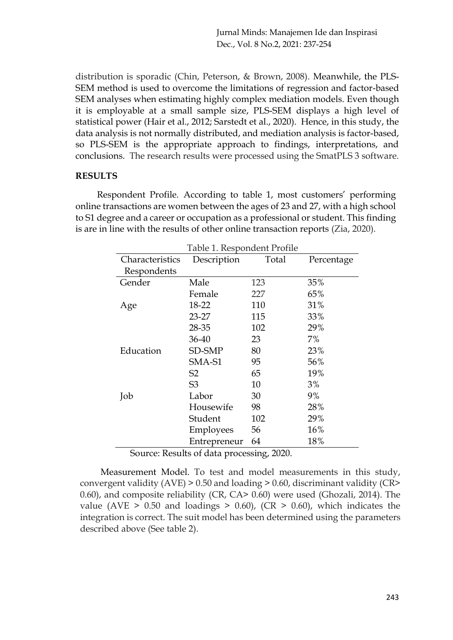Jurnal Minds: Manajemen Ide dan Inspirasi Dec., Vol. 8 No.2, 2021: 237-254

distribution is sporadic (Chin, Peterson, & Brown, 2008). Meanwhile, the PLS-SEM method is used to overcome the limitations of regression and factor-based SEM analyses when estimating highly complex mediation models. Even though it is employable at a small sample size, PLS-SEM displays a high level of statistical power (Hair et al., 2012; Sarstedt et al., 2020). Hence, in this study, the data analysis is not normally distributed, and mediation analysis is factor-based, so PLS-SEM is the appropriate approach to findings, interpretations, and conclusions. The research results were processed using the SmatPLS 3 software.

#### **RESULTS**

Respondent Profile*.* According to table 1, most customers' performing online transactions are women between the ages of 23 and 27, with a high school to S1 degree and a career or occupation as a professional or student. This finding is are in line with the results of other online transaction reports (Zia, 2020).

| Characteristics | TAVIC 1. RESPONDENT I TOME<br>Description | Total | Percentage |
|-----------------|-------------------------------------------|-------|------------|
| Respondents     |                                           |       |            |
| Gender          | Male                                      | 123   | 35%        |
|                 | Female                                    | 227   | 65%        |
| Age             | 18-22                                     | 110   | 31%        |
|                 | 23-27                                     | 115   | 33%        |
|                 | 28-35                                     | 102   | 29%        |
|                 | $36 - 40$                                 | 23    | 7%         |
| Education       | SD-SMP                                    | 80    | 23%        |
|                 | SMA-S1                                    | 95    | 56%        |
|                 | S <sub>2</sub>                            | 65    | 19%        |
|                 | S <sub>3</sub>                            | 10    | $3\%$      |
| Job             | Labor                                     | 30    | 9%         |
|                 | Housewife                                 | 98    | 28%        |
|                 | Student                                   | 102   | 29%        |
|                 | Employees                                 | 56    | 16%        |
|                 | Entrepreneur                              | 64    | 18%        |

Table 1. Respondent Profile

Source: Results of data processing, 2020.

Measurement Model. To test and model measurements in this study, convergent validity (AVE) > 0.50 and loading > 0.60, discriminant validity (CR> 0.60), and composite reliability (CR, CA> 0.60) were used (Ghozali, 2014). The value (AVE  $> 0.50$  and loadings  $> 0.60$ ), (CR  $> 0.60$ ), which indicates the integration is correct. The suit model has been determined using the parameters described above (See table 2).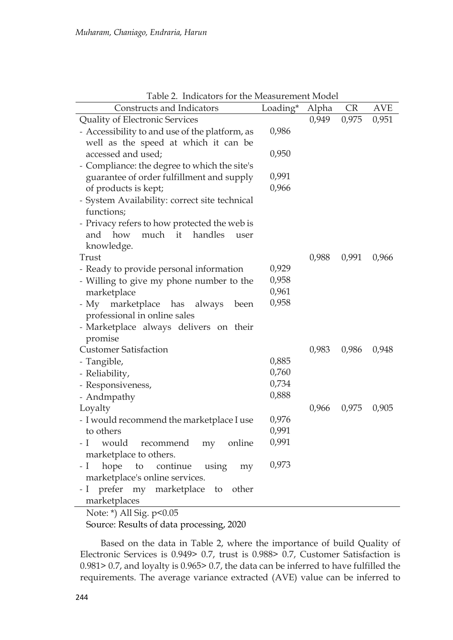| Constructs and Indicators                                            | Loading*       | Alpha | <b>CR</b> | <b>AVE</b> |
|----------------------------------------------------------------------|----------------|-------|-----------|------------|
| Quality of Electronic Services                                       |                | 0,949 | 0,975     | 0,951      |
| - Accessibility to and use of the platform, as                       | 0,986          |       |           |            |
| well as the speed at which it can be                                 |                |       |           |            |
| accessed and used;                                                   | 0,950          |       |           |            |
| - Compliance: the degree to which the site's                         |                |       |           |            |
| guarantee of order fulfillment and supply                            | 0,991          |       |           |            |
| of products is kept;                                                 | 0,966          |       |           |            |
| - System Availability: correct site technical                        |                |       |           |            |
| functions;                                                           |                |       |           |            |
| - Privacy refers to how protected the web is                         |                |       |           |            |
| how much it handles<br>and<br>user                                   |                |       |           |            |
| knowledge.                                                           |                |       |           |            |
| Trust                                                                |                | 0,988 | 0,991     | 0,966      |
| - Ready to provide personal information                              | 0,929          |       |           |            |
| - Willing to give my phone number to the                             | 0,958          |       |           |            |
| marketplace                                                          | 0,961          |       |           |            |
| - My marketplace has always<br>been                                  | 0,958          |       |           |            |
| professional in online sales                                         |                |       |           |            |
| - Marketplace always delivers on their                               |                |       |           |            |
| promise                                                              |                |       |           |            |
| <b>Customer Satisfaction</b>                                         |                | 0,983 | 0,986     | 0,948      |
| - Tangible,                                                          | 0,885          |       |           |            |
| - Reliability,                                                       | 0,760          |       |           |            |
| - Responsiveness,                                                    | 0,734<br>0,888 |       |           |            |
| - Andmpathy                                                          |                |       |           |            |
| Loyalty                                                              |                | 0,966 | 0,975     | 0,905      |
| - I would recommend the marketplace I use<br>to others               | 0,976<br>0,991 |       |           |            |
|                                                                      | 0,991          |       |           |            |
| - I<br>would<br>recommend<br>online<br>my                            |                |       |           |            |
| marketplace to others.                                               | 0,973          |       |           |            |
| hope to continue using my<br>- I -<br>marketplace's online services. |                |       |           |            |
|                                                                      |                |       |           |            |
| - I prefer my marketplace to other<br>marketplaces                   |                |       |           |            |
|                                                                      |                |       |           |            |

Table 2. Indicators for the Measurement Model

Note: \*) All Sig. p<0.05

Source: Results of data processing, 2020

Based on the data in Table 2, where the importance of build Quality of Electronic Services is 0.949> 0.7, trust is 0.988> 0.7, Customer Satisfaction is 0.981> 0.7, and loyalty is 0.965> 0.7, the data can be inferred to have fulfilled the requirements. The average variance extracted (AVE) value can be inferred to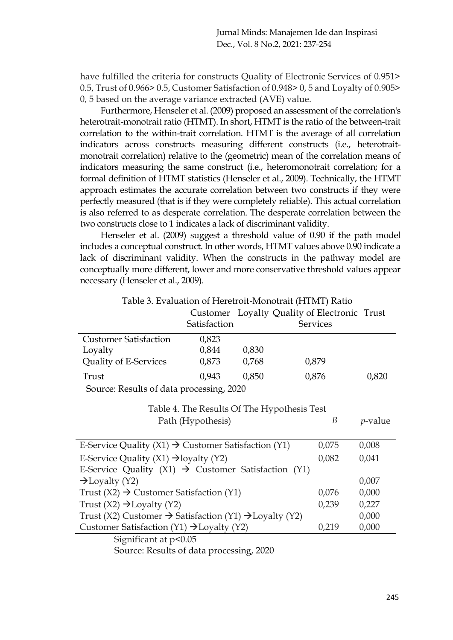have fulfilled the criteria for constructs Quality of Electronic Services of 0.951> 0.5, Trust of 0.966> 0.5, Customer Satisfaction of 0.948> 0, 5 and Loyalty of 0.905> 0, 5 based on the average variance extracted (AVE) value.

Furthermore, Henseler et al. (2009) proposed an assessment of the correlation's heterotrait-monotrait ratio (HTMT). In short, HTMT is the ratio of the between-trait correlation to the within-trait correlation. HTMT is the average of all correlation indicators across constructs measuring different constructs (i.e., heterotraitmonotrait correlation) relative to the (geometric) mean of the correlation means of indicators measuring the same construct (i.e., heteromonotrait correlation; for a formal definition of HTMT statistics (Henseler et al., 2009). Technically, the HTMT approach estimates the accurate correlation between two constructs if they were perfectly measured (that is if they were completely reliable). This actual correlation is also referred to as desperate correlation. The desperate correlation between the two constructs close to 1 indicates a lack of discriminant validity.

Henseler et al. (2009) suggest a threshold value of 0.90 if the path model includes a conceptual construct. In other words, HTMT values above 0.90 indicate a lack of discriminant validity. When the constructs in the pathway model are conceptually more different, lower and more conservative threshold values appear necessary (Henseler et al., 2009).

|                                                                 |                   |       | Customer Loyalty Quality of Electronic Trust |            |  |
|-----------------------------------------------------------------|-------------------|-------|----------------------------------------------|------------|--|
|                                                                 | Satisfaction      |       | Services                                     |            |  |
| <b>Customer Satisfaction</b>                                    | 0,823             |       |                                              |            |  |
| Loyalty                                                         | 0,844             | 0,830 |                                              |            |  |
| Quality of E-Services                                           | 0,873             | 0,768 | 0,879                                        |            |  |
| Trust                                                           | 0,943             | 0,850 | 0,876                                        | 0,820      |  |
| Source: Results of data processing, 2020                        |                   |       |                                              |            |  |
| Table 4. The Results Of The Hypothesis Test                     |                   |       |                                              |            |  |
|                                                                 | Path (Hypothesis) |       | B                                            | $p$ -value |  |
|                                                                 |                   |       |                                              |            |  |
| E-Service Quality (X1) $\rightarrow$ Customer Satisfaction (Y1) |                   |       | 0,075                                        | 0,008      |  |
| E-Service Quality $(X1) \rightarrow$ loyalty $(Y2)$             |                   | 0,082 | 0,041                                        |            |  |
| E-Service Quality (X1) $\rightarrow$ Customer Satisfaction (Y1) |                   |       |                                              |            |  |

Table 3. Evaluation of Heretroit-Monotrait (HTMT) Ratio

E-Service Quality  $(X1) \rightarrow$  Customer Satisfaction  $(Y1)$  $\rightarrow$ Loyalty (Y2) 0,007 Trust  $(X2) \rightarrow$  Customer Satisfaction  $(Y1)$  0,076 0,000 Trust  $(X2) \rightarrow$ Loyalty  $(Y2)$ Trust (X2) Customer  $\rightarrow$  Satisfaction (Y1)  $\rightarrow$  Loyalty (Y2) 0,239 0,227 0,000 Customer Satisfaction (Y1)  $\rightarrow$  Loyalty (Y2) 0,219 0,000

Significant at  $p<0.05$ 

Source: Results of data processing, 2020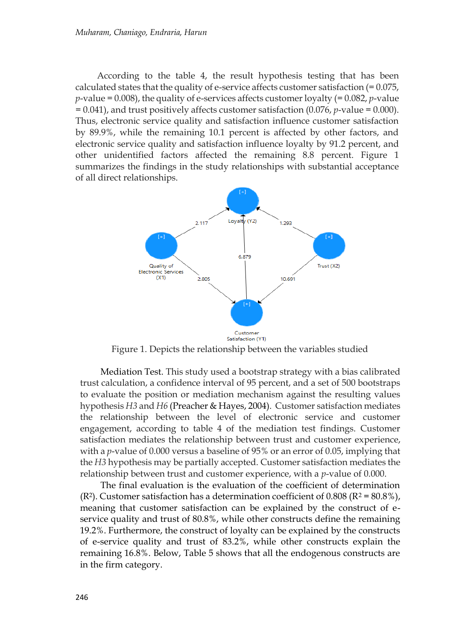According to the table 4, the result hypothesis testing that has been calculated states that the quality of e-service affects customer satisfaction (= 0.075, *p*-value = 0.008), the quality of e-services affects customer loyalty (= 0.082, *p*-value = 0.041), and trust positively affects customer satisfaction (0.076, *p*-value = 0.000). Thus, electronic service quality and satisfaction influence customer satisfaction by 89.9%, while the remaining 10.1 percent is affected by other factors, and electronic service quality and satisfaction influence loyalty by 91.2 percent, and other unidentified factors affected the remaining 8.8 percent. Figure 1 summarizes the findings in the study relationships with substantial acceptance of all direct relationships.



Figure 1. Depicts the relationship between the variables studied

Mediation Test. This study used a bootstrap strategy with a bias calibrated trust calculation, a confidence interval of 95 percent, and a set of 500 bootstraps to evaluate the position or mediation mechanism against the resulting values hypothesis *H3* and *H6* (Preacher & Hayes, 2004). Customer satisfaction mediates the relationship between the level of electronic service and customer engagement, according to table 4 of the mediation test findings. Customer satisfaction mediates the relationship between trust and customer experience, with a *p*-value of 0.000 versus a baseline of 95% or an error of 0.05, implying that the *H3* hypothesis may be partially accepted. Customer satisfaction mediates the relationship between trust and customer experience, with a *p*-value of 0.000.

The final evaluation is the evaluation of the coefficient of determination (R<sup>2</sup>). Customer satisfaction has a determination coefficient of 0.808 (R<sup>2</sup> = 80.8%), meaning that customer satisfaction can be explained by the construct of eservice quality and trust of 80.8%, while other constructs define the remaining 19.2%. Furthermore, the construct of loyalty can be explained by the constructs of e-service quality and trust of 83.2%, while other constructs explain the remaining 16.8%. Below, Table 5 shows that all the endogenous constructs are in the firm category.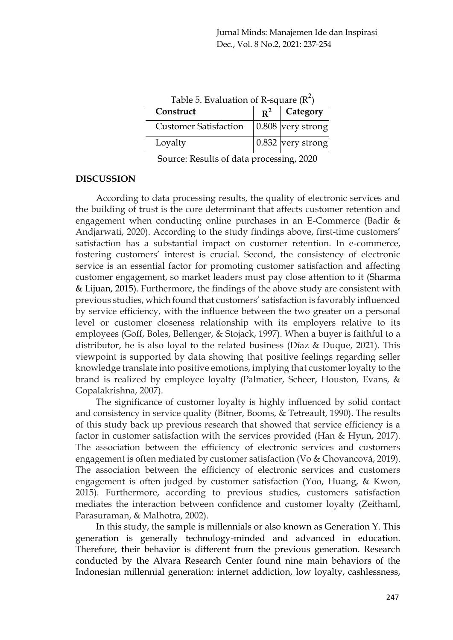| Table 5. Evaluation of R-square $(R^+)$ |       |                           |  |  |
|-----------------------------------------|-------|---------------------------|--|--|
| Construct                               | $R^2$ | <b>Category</b>           |  |  |
| <b>Customer Satisfaction</b>            |       | 0.808 very strong         |  |  |
| Loyalty                                 |       | $\vert$ 0.832 very strong |  |  |

Source: Results of data processing, 2020

# **DISCUSSION**

According to data processing results, the quality of electronic services and the building of trust is the core determinant that affects customer retention and engagement when conducting online purchases in an E-Commerce (Badir & Andjarwati, 2020). According to the study findings above, first-time customers' satisfaction has a substantial impact on customer retention. In e-commerce, fostering customers' interest is crucial. Second, the consistency of electronic service is an essential factor for promoting customer satisfaction and affecting customer engagement, so market leaders must pay close attention to it (Sharma & Lijuan, 2015). Furthermore, the findings of the above study are consistent with previous studies, which found that customers' satisfaction is favorably influenced by service efficiency, with the influence between the two greater on a personal level or customer closeness relationship with its employers relative to its employees (Goff, Boles, Bellenger, & Stojack, 1997). When a buyer is faithful to a distributor, he is also loyal to the related business (Díaz & Duque, 2021). This viewpoint is supported by data showing that positive feelings regarding seller knowledge translate into positive emotions, implying that customer loyalty to the brand is realized by employee loyalty (Palmatier, Scheer, Houston, Evans, & Gopalakrishna, 2007).

The significance of customer loyalty is highly influenced by solid contact and consistency in service quality (Bitner, Booms, & Tetreault, 1990). The results of this study back up previous research that showed that service efficiency is a factor in customer satisfaction with the services provided (Han & Hyun, 2017). The association between the efficiency of electronic services and customers engagement is often mediated by customer satisfaction (Vo & Chovancová, 2019). The association between the efficiency of electronic services and customers engagement is often judged by customer satisfaction (Yoo, Huang, & Kwon, 2015). Furthermore, according to previous studies, customers satisfaction mediates the interaction between confidence and customer loyalty (Zeithaml, Parasuraman, & Malhotra, 2002).

In this study, the sample is millennials or also known as Generation Y. This generation is generally technology-minded and advanced in education. Therefore, their behavior is different from the previous generation. Research conducted by the Alvara Research Center found nine main behaviors of the Indonesian millennial generation: internet addiction, low loyalty, cashlessness,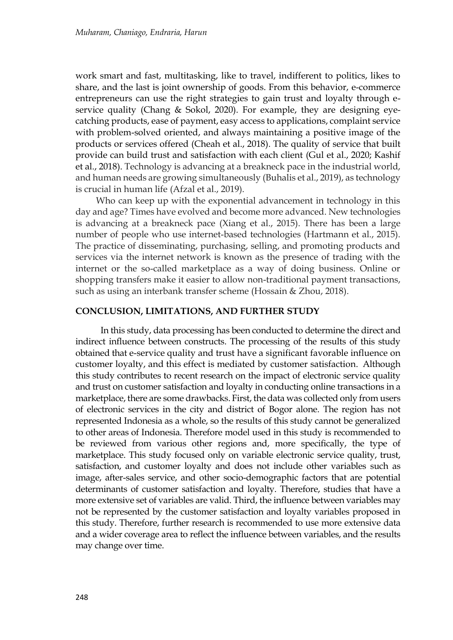work smart and fast, multitasking, like to travel, indifferent to politics, likes to share, and the last is joint ownership of goods. From this behavior, e-commerce entrepreneurs can use the right strategies to gain trust and loyalty through eservice quality (Chang & Sokol, 2020). For example, they are designing eyecatching products, ease of payment, easy access to applications, complaint service with problem-solved oriented, and always maintaining a positive image of the products or services offered (Cheah et al., 2018). The quality of service that built provide can build trust and satisfaction with each client (Gul et al., 2020; Kashif et al., 2018). Technology is advancing at a breakneck pace in the industrial world, and human needs are growing simultaneously (Buhalis et al., 2019), as technology is crucial in human life (Afzal et al., 2019).

Who can keep up with the exponential advancement in technology in this day and age? Times have evolved and become more advanced. New technologies is advancing at a breakneck pace (Xiang et al., 2015). There has been a large number of people who use internet-based technologies (Hartmann et al., 2015). The practice of disseminating, purchasing, selling, and promoting products and services via the internet network is known as the presence of trading with the internet or the so-called marketplace as a way of doing business. Online or shopping transfers make it easier to allow non-traditional payment transactions, such as using an interbank transfer scheme (Hossain & Zhou, 2018).

## **CONCLUSION, LIMITATIONS, AND FURTHER STUDY**

In this study, data processing has been conducted to determine the direct and indirect influence between constructs. The processing of the results of this study obtained that e-service quality and trust have a significant favorable influence on customer loyalty, and this effect is mediated by customer satisfaction. Although this study contributes to recent research on the impact of electronic service quality and trust on customer satisfaction and loyalty in conducting online transactions in a marketplace, there are some drawbacks. First, the data was collected only from users of electronic services in the city and district of Bogor alone. The region has not represented Indonesia as a whole, so the results of this study cannot be generalized to other areas of Indonesia. Therefore model used in this study is recommended to be reviewed from various other regions and, more specifically, the type of marketplace. This study focused only on variable electronic service quality, trust, satisfaction, and customer loyalty and does not include other variables such as image, after-sales service, and other socio-demographic factors that are potential determinants of customer satisfaction and loyalty. Therefore, studies that have a more extensive set of variables are valid. Third, the influence between variables may not be represented by the customer satisfaction and loyalty variables proposed in this study. Therefore, further research is recommended to use more extensive data and a wider coverage area to reflect the influence between variables, and the results may change over time.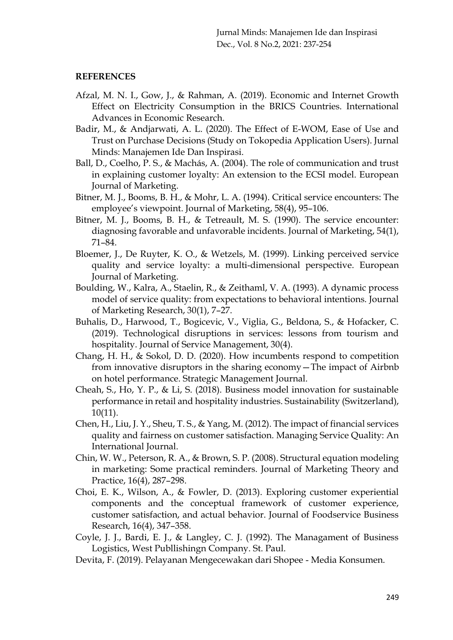# **REFERENCES**

- Afzal, M. N. I., Gow, J., & Rahman, A. (2019). Economic and Internet Growth Effect on Electricity Consumption in the BRICS Countries. International Advances in Economic Research.
- Badir, M., & Andjarwati, A. L. (2020). The Effect of E-WOM, Ease of Use and Trust on Purchase Decisions (Study on Tokopedia Application Users). Jurnal Minds: Manajemen Ide Dan Inspirasi.
- Ball, D., Coelho, P. S., & Machás, A. (2004). The role of communication and trust in explaining customer loyalty: An extension to the ECSI model. European Journal of Marketing.
- Bitner, M. J., Booms, B. H., & Mohr, L. A. (1994). Critical service encounters: The employee's viewpoint. Journal of Marketing, 58(4), 95–106.
- Bitner, M. J., Booms, B. H., & Tetreault, M. S. (1990). The service encounter: diagnosing favorable and unfavorable incidents. Journal of Marketing, 54(1), 71–84.
- Bloemer, J., De Ruyter, K. O., & Wetzels, M. (1999). Linking perceived service quality and service loyalty: a multi-dimensional perspective. European Journal of Marketing.
- Boulding, W., Kalra, A., Staelin, R., & Zeithaml, V. A. (1993). A dynamic process model of service quality: from expectations to behavioral intentions. Journal of Marketing Research, 30(1), 7–27.
- Buhalis, D., Harwood, T., Bogicevic, V., Viglia, G., Beldona, S., & Hofacker, C. (2019). Technological disruptions in services: lessons from tourism and hospitality. Journal of Service Management, 30(4).
- Chang, H. H., & Sokol, D. D. (2020). How incumbents respond to competition from innovative disruptors in the sharing economy—The impact of Airbnb on hotel performance. Strategic Management Journal.
- Cheah, S., Ho, Y. P., & Li, S. (2018). Business model innovation for sustainable performance in retail and hospitality industries. Sustainability (Switzerland), 10(11).
- Chen, H., Liu, J. Y., Sheu, T. S., & Yang, M. (2012). The impact of financial services quality and fairness on customer satisfaction. Managing Service Quality: An International Journal.
- Chin, W. W., Peterson, R. A., & Brown, S. P. (2008). Structural equation modeling in marketing: Some practical reminders. Journal of Marketing Theory and Practice, 16(4), 287–298.
- Choi, E. K., Wilson, A., & Fowler, D. (2013). Exploring customer experiential components and the conceptual framework of customer experience, customer satisfaction, and actual behavior. Journal of Foodservice Business Research, 16(4), 347–358.
- Coyle, J. J., Bardi, E. J., & Langley, C. J. (1992). The Managament of Business Logistics, West Publlishingn Company. St. Paul.
- Devita, F. (2019). Pelayanan Mengecewakan dari Shopee Media Konsumen.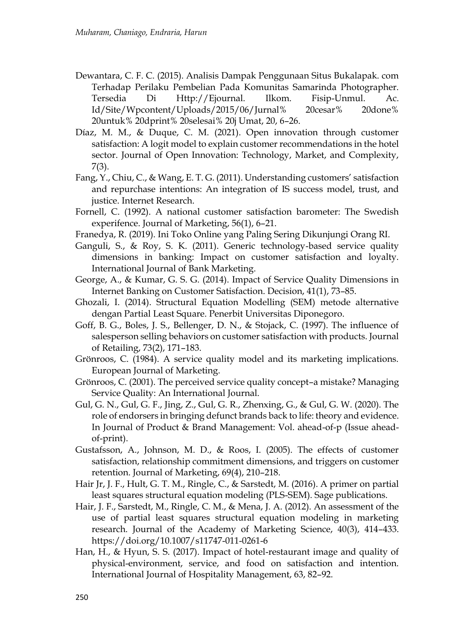- Dewantara, C. F. C. (2015). Analisis Dampak Penggunaan Situs Bukalapak. com Terhadap Perilaku Pembelian Pada Komunitas Samarinda Photographer. Tersedia Di Http://Ejournal. Ilkom. Fisip-Unmul. Ac. Id/Site/Wpcontent/Uploads/2015/06/Jurnal% 20cesar% 20done% 20untuk% 20dprint% 20selesai% 20j Umat, 20, 6–26.
- Díaz, M. M., & Duque, C. M. (2021). Open innovation through customer satisfaction: A logit model to explain customer recommendations in the hotel sector. Journal of Open Innovation: Technology, Market, and Complexity, 7(3).
- Fang, Y., Chiu, C., & Wang, E. T. G. (2011). Understanding customers' satisfaction and repurchase intentions: An integration of IS success model, trust, and justice. Internet Research.
- Fornell, C. (1992). A national customer satisfaction barometer: The Swedish experifence. Journal of Marketing, 56(1), 6–21.
- Franedya, R. (2019). Ini Toko Online yang Paling Sering Dikunjungi Orang RI.
- Ganguli, S., & Roy, S. K. (2011). Generic technology‐based service quality dimensions in banking: Impact on customer satisfaction and loyalty. International Journal of Bank Marketing.
- George, A., & Kumar, G. S. G. (2014). Impact of Service Quality Dimensions in Internet Banking on Customer Satisfaction. Decision, 41(1), 73–85.
- Ghozali, I. (2014). Structural Equation Modelling (SEM) metode alternative dengan Partial Least Square. Penerbit Universitas Diponegoro.
- Goff, B. G., Boles, J. S., Bellenger, D. N., & Stojack, C. (1997). The influence of salesperson selling behaviors on customer satisfaction with products. Journal of Retailing, 73(2), 171–183.
- Grönroos, C. (1984). A service quality model and its marketing implications. European Journal of Marketing.
- Grönroos, C. (2001). The perceived service quality concept–a mistake? Managing Service Quality: An International Journal.
- Gul, G. N., Gul, G. F., Jing, Z., Gul, G. R., Zhenxing, G., & Gul, G. W. (2020). The role of endorsers in bringing defunct brands back to life: theory and evidence. In Journal of Product & Brand Management: Vol. ahead-of-p (Issue aheadof-print).
- Gustafsson, A., Johnson, M. D., & Roos, I. (2005). The effects of customer satisfaction, relationship commitment dimensions, and triggers on customer retention. Journal of Marketing, 69(4), 210–218.
- Hair Jr, J. F., Hult, G. T. M., Ringle, C., & Sarstedt, M. (2016). A primer on partial least squares structural equation modeling (PLS-SEM). Sage publications.
- Hair, J. F., Sarstedt, M., Ringle, C. M., & Mena, J. A. (2012). An assessment of the use of partial least squares structural equation modeling in marketing research. Journal of the Academy of Marketing Science, 40(3), 414–433. https://doi.org/10.1007/s11747-011-0261-6
- Han, H., & Hyun, S. S. (2017). Impact of hotel-restaurant image and quality of physical-environment, service, and food on satisfaction and intention. International Journal of Hospitality Management, 63, 82–92.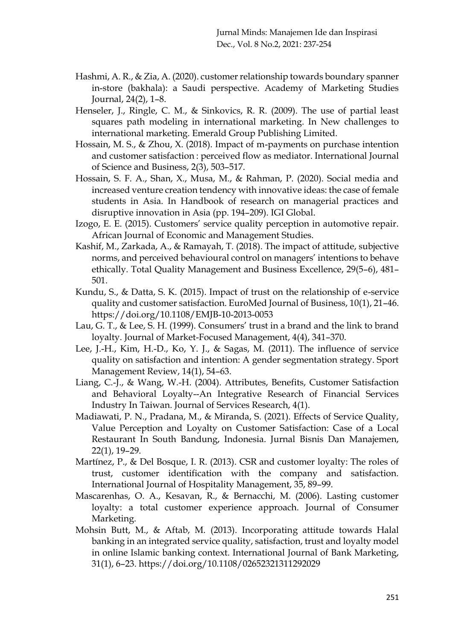- Hashmi, A. R., & Zia, A. (2020). customer relationship towards boundary spanner in-store (bakhala): a Saudi perspective. Academy of Marketing Studies Journal, 24(2), 1–8.
- Henseler, J., Ringle, C. M., & Sinkovics, R. R. (2009). The use of partial least squares path modeling in international marketing. In New challenges to international marketing. Emerald Group Publishing Limited.
- Hossain, M. S., & Zhou, X. (2018). Impact of m-payments on purchase intention and customer satisfaction : perceived flow as mediator. International Journal of Science and Business, 2(3), 503–517.
- Hossain, S. F. A., Shan, X., Musa, M., & Rahman, P. (2020). Social media and increased venture creation tendency with innovative ideas: the case of female students in Asia. In Handbook of research on managerial practices and disruptive innovation in Asia (pp. 194–209). IGI Global.
- Izogo, E. E. (2015). Customers' service quality perception in automotive repair. African Journal of Economic and Management Studies.
- Kashif, M., Zarkada, A., & Ramayah, T. (2018). The impact of attitude, subjective norms, and perceived behavioural control on managers' intentions to behave ethically. Total Quality Management and Business Excellence, 29(5–6), 481– 501.
- Kundu, S., & Datta, S. K. (2015). Impact of trust on the relationship of e-service quality and customer satisfaction. EuroMed Journal of Business, 10(1), 21–46. https://doi.org/10.1108/EMJB-10-2013-0053
- Lau, G. T., & Lee, S. H. (1999). Consumers' trust in a brand and the link to brand loyalty. Journal of Market-Focused Management, 4(4), 341–370.
- Lee, J.-H., Kim, H.-D., Ko, Y. J., & Sagas, M. (2011). The influence of service quality on satisfaction and intention: A gender segmentation strategy. Sport Management Review, 14(1), 54–63.
- Liang, C.-J., & Wang, W.-H. (2004). Attributes, Benefits, Customer Satisfaction and Behavioral Loyalty--An Integrative Research of Financial Services Industry In Taiwan. Journal of Services Research, 4(1).
- Madiawati, P. N., Pradana, M., & Miranda, S. (2021). Effects of Service Quality, Value Perception and Loyalty on Customer Satisfaction: Case of a Local Restaurant In South Bandung, Indonesia. Jurnal Bisnis Dan Manajemen, 22(1), 19–29.
- Martínez, P., & Del Bosque, I. R. (2013). CSR and customer loyalty: The roles of trust, customer identification with the company and satisfaction. International Journal of Hospitality Management, 35, 89–99.
- Mascarenhas, O. A., Kesavan, R., & Bernacchi, M. (2006). Lasting customer loyalty: a total customer experience approach. Journal of Consumer Marketing.
- Mohsin Butt, M., & Aftab, M. (2013). Incorporating attitude towards Halal banking in an integrated service quality, satisfaction, trust and loyalty model in online Islamic banking context. International Journal of Bank Marketing, 31(1), 6–23. https://doi.org/10.1108/02652321311292029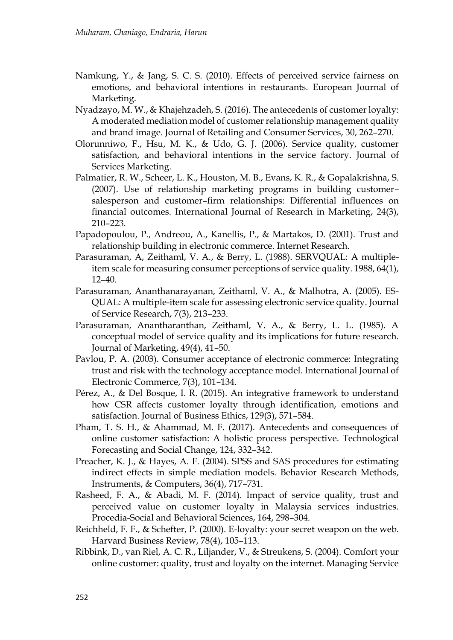- Namkung, Y., & Jang, S. C. S. (2010). Effects of perceived service fairness on emotions, and behavioral intentions in restaurants. European Journal of Marketing.
- Nyadzayo, M. W., & Khajehzadeh, S. (2016). The antecedents of customer loyalty: A moderated mediation model of customer relationship management quality and brand image. Journal of Retailing and Consumer Services, 30, 262–270.
- Olorunniwo, F., Hsu, M. K., & Udo, G. J. (2006). Service quality, customer satisfaction, and behavioral intentions in the service factory. Journal of Services Marketing.
- Palmatier, R. W., Scheer, L. K., Houston, M. B., Evans, K. R., & Gopalakrishna, S. (2007). Use of relationship marketing programs in building customer– salesperson and customer–firm relationships: Differential influences on financial outcomes. International Journal of Research in Marketing, 24(3), 210–223.
- Papadopoulou, P., Andreou, A., Kanellis, P., & Martakos, D. (2001). Trust and relationship building in electronic commerce. Internet Research.
- Parasuraman, A, Zeithaml, V. A., & Berry, L. (1988). SERVQUAL: A multipleitem scale for measuring consumer perceptions of service quality. 1988, 64(1), 12–40.
- Parasuraman, Ananthanarayanan, Zeithaml, V. A., & Malhotra, A. (2005). ES-QUAL: A multiple-item scale for assessing electronic service quality. Journal of Service Research, 7(3), 213–233.
- Parasuraman, Anantharanthan, Zeithaml, V. A., & Berry, L. L. (1985). A conceptual model of service quality and its implications for future research. Journal of Marketing, 49(4), 41–50.
- Pavlou, P. A. (2003). Consumer acceptance of electronic commerce: Integrating trust and risk with the technology acceptance model. International Journal of Electronic Commerce, 7(3), 101–134.
- Pérez, A., & Del Bosque, I. R. (2015). An integrative framework to understand how CSR affects customer loyalty through identification, emotions and satisfaction. Journal of Business Ethics, 129(3), 571–584.
- Pham, T. S. H., & Ahammad, M. F. (2017). Antecedents and consequences of online customer satisfaction: A holistic process perspective. Technological Forecasting and Social Change, 124, 332–342.
- Preacher, K. J., & Hayes, A. F. (2004). SPSS and SAS procedures for estimating indirect effects in simple mediation models. Behavior Research Methods, Instruments, & Computers, 36(4), 717–731.
- Rasheed, F. A., & Abadi, M. F. (2014). Impact of service quality, trust and perceived value on customer loyalty in Malaysia services industries. Procedia-Social and Behavioral Sciences, 164, 298–304.
- Reichheld, F. F., & Schefter, P. (2000). E-loyalty: your secret weapon on the web. Harvard Business Review, 78(4), 105–113.
- Ribbink, D., van Riel, A. C. R., Liljander, V., & Streukens, S. (2004). Comfort your online customer: quality, trust and loyalty on the internet. Managing Service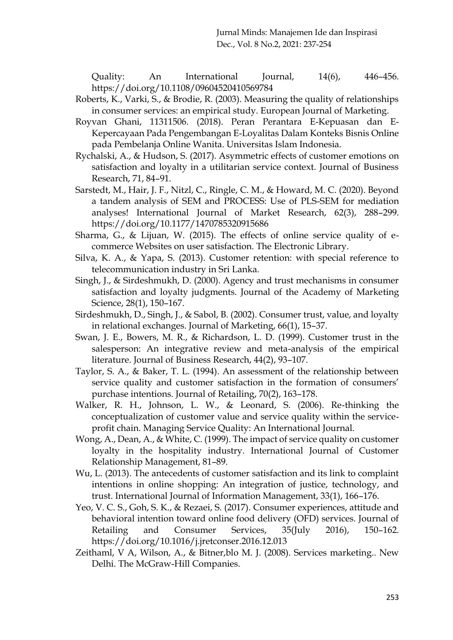Quality: An International Journal, 14(6), 446–456. https://doi.org/10.1108/09604520410569784

- Roberts, K., Varki, S., & Brodie, R. (2003). Measuring the quality of relationships in consumer services: an empirical study. European Journal of Marketing.
- Royvan Ghani, 11311506. (2018). Peran Perantara E-Kepuasan dan E-Kepercayaan Pada Pengembangan E-Loyalitas Dalam Konteks Bisnis Online pada Pembelanja Online Wanita. Universitas Islam Indonesia.
- Rychalski, A., & Hudson, S. (2017). Asymmetric effects of customer emotions on satisfaction and loyalty in a utilitarian service context. Journal of Business Research, 71, 84–91.
- Sarstedt, M., Hair, J. F., Nitzl, C., Ringle, C. M., & Howard, M. C. (2020). Beyond a tandem analysis of SEM and PROCESS: Use of PLS-SEM for mediation analyses! International Journal of Market Research, 62(3), 288–299. https://doi.org/10.1177/1470785320915686
- Sharma, G., & Lijuan, W. (2015). The effects of online service quality of ecommerce Websites on user satisfaction. The Electronic Library.
- Silva, K. A., & Yapa, S. (2013). Customer retention: with special reference to telecommunication industry in Sri Lanka.
- Singh, J., & Sirdeshmukh, D. (2000). Agency and trust mechanisms in consumer satisfaction and loyalty judgments. Journal of the Academy of Marketing Science, 28(1), 150–167.
- Sirdeshmukh, D., Singh, J., & Sabol, B. (2002). Consumer trust, value, and loyalty in relational exchanges. Journal of Marketing, 66(1), 15–37.
- Swan, J. E., Bowers, M. R., & Richardson, L. D. (1999). Customer trust in the salesperson: An integrative review and meta-analysis of the empirical literature. Journal of Business Research, 44(2), 93–107.
- Taylor, S. A., & Baker, T. L. (1994). An assessment of the relationship between service quality and customer satisfaction in the formation of consumers' purchase intentions. Journal of Retailing, 70(2), 163–178.
- Walker, R. H., Johnson, L. W., & Leonard, S. (2006). Re-thinking the conceptualization of customer value and service quality within the service‐ profit chain. Managing Service Quality: An International Journal.
- Wong, A., Dean, A., & White, C. (1999). The impact of service quality on customer loyalty in the hospitality industry. International Journal of Customer Relationship Management, 81–89.
- Wu, L. (2013). The antecedents of customer satisfaction and its link to complaint intentions in online shopping: An integration of justice, technology, and trust. International Journal of Information Management, 33(1), 166–176.
- Yeo, V. C. S., Goh, S. K., & Rezaei, S. (2017). Consumer experiences, attitude and behavioral intention toward online food delivery (OFD) services. Journal of Retailing and Consumer Services, 35(July 2016), 150-162. https://doi.org/10.1016/j.jretconser.2016.12.013
- Zeithaml, V A, Wilson, A., & Bitner,blo M. J. (2008). Services marketing.. New Delhi. The McGraw-Hill Companies.